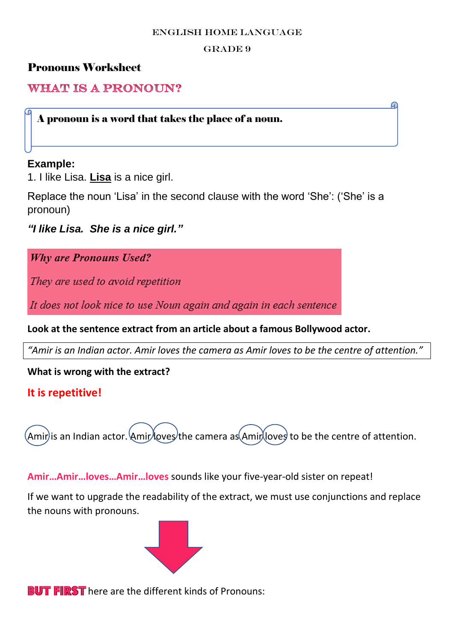#### ENGLISH HOME LANGUAGE

#### GRADE 9

ഹ

## Pronouns Worksheet

**WHAT IS A PRONOUN?** 

A pronoun is a word that takes the place of a noun.

### **Example:**

1. I like Lisa. **Lisa** is a nice girl.

Replace the noun 'Lisa' in the second clause with the word 'She': ('She' is a pronoun)

*"I like Lisa. She is a nice girl."*

**Why are Pronouns Used?** 

They are used to avoid repetition

It does not look nice to use Noun again and again in each sentence

**Look at the sentence extract from an article about a famous Bollywood actor.**

*"Amir is an Indian actor. Amir loves the camera as Amir loves to be the centre of attention."*

**What is wrong with the extract?**

## **It is repetitive!**

 $(Amir)$ is an Indian actor.  $AmirAovez$  the camera as $(AmirA)ovez$  to be the centre of attention.

**Amir…Amir…loves…Amir…loves** sounds like your five-year-old sister on repeat!

If we want to upgrade the readability of the extract, we must use conjunctions and replace the nouns with pronouns.



**BUT FIRST** here are the different kinds of Pronouns: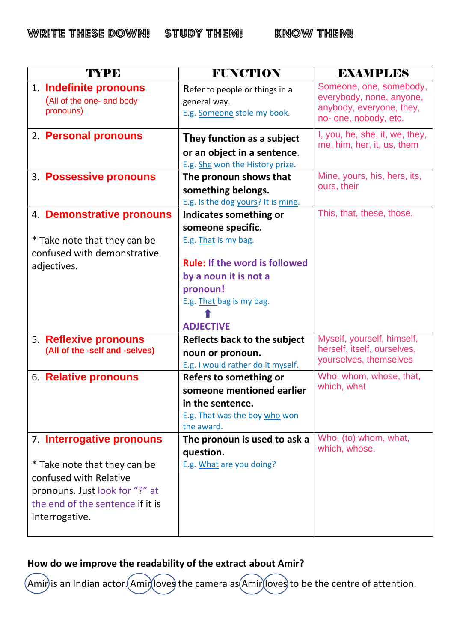| TYPE                                                                                                                                                                        | <b>FUNCTION</b>                                                                                                                                   | <b>EXAMPLES</b>                                                                                          |
|-----------------------------------------------------------------------------------------------------------------------------------------------------------------------------|---------------------------------------------------------------------------------------------------------------------------------------------------|----------------------------------------------------------------------------------------------------------|
| 1. Indefinite pronouns<br>(All of the one- and body<br>pronouns)                                                                                                            | Refer to people or things in a<br>general way.<br>E.g. Someone stole my book.                                                                     | Someone, one, somebody,<br>everybody, none, anyone,<br>anybody, everyone, they,<br>no- one, nobody, etc. |
| 2. Personal pronouns                                                                                                                                                        | They function as a subject<br>or an object in a sentence.<br>E.g. She won the History prize.                                                      | I, you, he, she, it, we, they,<br>me, him, her, it, us, them                                             |
| 3. Possessive pronouns                                                                                                                                                      | The pronoun shows that<br>something belongs.<br>E.g. Is the dog yours? It is mine.                                                                | Mine, yours, his, hers, its,<br>ours, their                                                              |
| 4. Demonstrative pronouns                                                                                                                                                   | Indicates something or<br>someone specific.                                                                                                       | This, that, these, those.                                                                                |
| * Take note that they can be<br>confused with demonstrative<br>adjectives.                                                                                                  | E.g. That is my bag.<br><b>Rule: If the word is followed</b><br>by a noun it is not a<br>pronoun!<br>E.g. That bag is my bag.<br><b>ADJECTIVE</b> |                                                                                                          |
| 5. Reflexive pronouns<br>(All of the -self and -selves)                                                                                                                     | <b>Reflects back to the subject</b><br>noun or pronoun.<br>E.g. I would rather do it myself.                                                      | Myself, yourself, himself,<br>herself, itself, ourselves,<br>yourselves, themselves                      |
| 6. Relative pronouns                                                                                                                                                        | Refers to something or<br>someone mentioned earlier<br>in the sentence.<br>E.g. That was the boy who won<br>the award.                            | Who, whom, whose, that,<br>which, what                                                                   |
| 7. Interrogative pronouns<br>* Take note that they can be<br>confused with Relative<br>pronouns. Just look for "?" at<br>the end of the sentence if it is<br>Interrogative. | The pronoun is used to ask a<br>question.<br>E.g. What are you doing?                                                                             | Who, (to) whom, what,<br>which, whose.                                                                   |

# **How do we improve the readability of the extract about Amir?**

Amir) is an Indian actor. Amir loves the camera as Amir loves to be the centre of attention.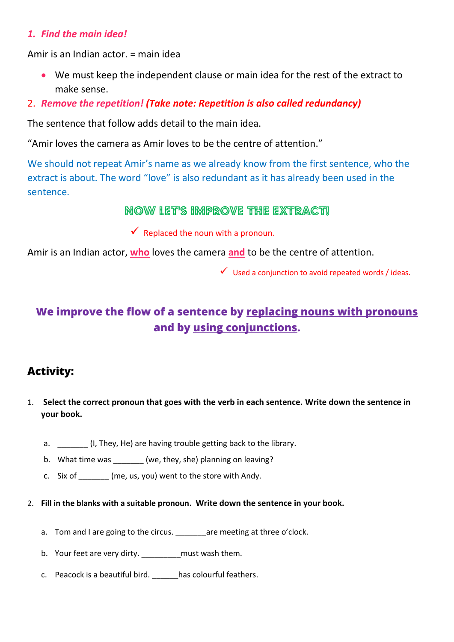### *1. Find the main idea!*

Amir is an Indian actor. = main idea

- We must keep the independent clause or main idea for the rest of the extract to make sense.
- 2. *Remove the repetition! (Take note: Repetition is also called redundancy)*

The sentence that follow adds detail to the main idea.

"Amir loves the camera as Amir loves to be the centre of attention."

We should not repeat Amir's name as we already know from the first sentence, who the extract is about. The word "love" is also redundant as it has already been used in the sentence.

Now let's improve the extract!

 $\checkmark$  Replaced the noun with a pronoun.

Amir is an Indian actor, **who** loves the camera **and** to be the centre of attention.

 $\checkmark$  Used a conjunction to avoid repeated words / ideas.

# **We improve the flow of a sentence by replacing nouns with pronouns and by using conjunctions.**

# **Activity:**

- 1. **Select the correct pronoun that goes with the verb in each sentence. Write down the sentence in your book.** 
	- a. \_\_\_\_\_\_\_ (I, They, He) are having trouble getting back to the library.
	- b. What time was \_\_\_\_\_\_ (we, they, she) planning on leaving?
	- c. Six of  $_{\text{(me, us, you)}$  went to the store with Andy.
- 2. **Fill in the blanks with a suitable pronoun. Write down the sentence in your book.** 
	- a. Tom and I are going to the circus. are meeting at three o'clock.
	- b. Your feet are very dirty. \_\_\_\_\_\_\_\_\_ must wash them.
	- c. Peacock is a beautiful bird. has colourful feathers.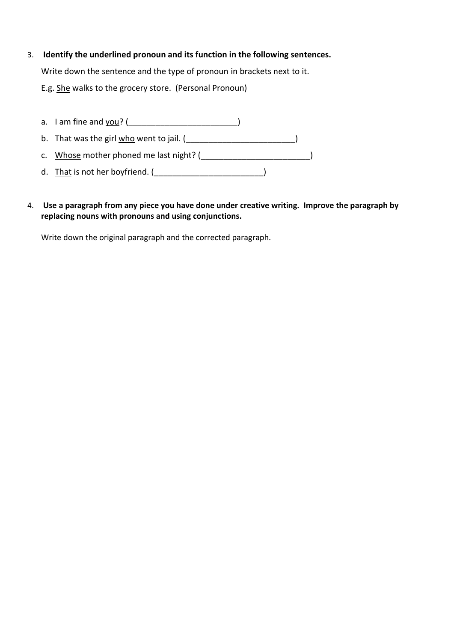- 3. **Identify the underlined pronoun and its function in the following sentences.** Write down the sentence and the type of pronoun in brackets next to it. E.g. She walks to the grocery store. (Personal Pronoun)
	- a. I am fine and  $you?$  (</u> b. That was the girl  $\underline{\text{who}}$  went to jail.  $(\underline{\hspace{1cm}}\underline{\hspace{1cm}}\underline{\hspace{1cm}}\underline{\hspace{1cm}}\underline{\hspace{1cm}}\underline{\hspace{1cm}}\underline{\hspace{1cm}}\underline{\hspace{1cm}}\underline{\hspace{1cm}}\underline{\hspace{1cm}}\underline{\hspace{1cm}}\underline{\hspace{1cm}}\underline{\hspace{1cm}}\underline{\hspace{1cm}}\underline{\hspace{1cm}}\underline{\hspace{1cm}}\underline{\hspace{1cm}}\underline{\hspace{1cm}}\underline{\hspace{1cm}}\underline{\$ c. Whose mother phoned me last night? (\_\_\_\_\_\_\_\_\_\_\_\_\_\_\_\_\_\_\_\_\_\_\_\_\_\_\_\_\_)
	- d. That is not her boyfriend. (\_\_\_\_\_\_\_\_\_\_\_\_\_\_\_\_\_\_\_\_\_\_\_\_\_\_\_\_\_\_\_)
- 4. **Use a paragraph from any piece you have done under creative writing. Improve the paragraph by replacing nouns with pronouns and using conjunctions.**

Write down the original paragraph and the corrected paragraph.